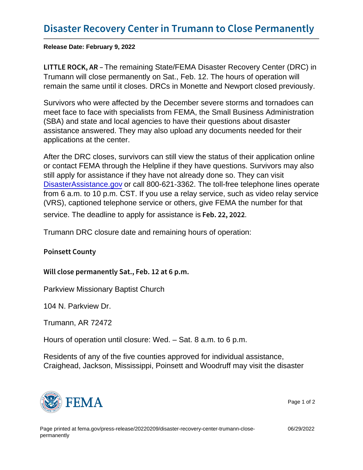Release Date: February 9, 2022

LITTLE ROCK Steed and read State/FEMA Disaster Recovery Center (DRC) in Trumann will close permanently on Sat., Feb. 12. The hours of operation will remain the same until it closes. DRCs in Monette and Newport closed previously.

Survivors who were affected by the December severe storms and tornadoes can meet face to face with specialists from FEMA, the Small Business Administration (SBA) and state and local agencies to have their questions about disaster assistance answered. They may also upload any documents needed for their applications at the center.

After the DRC closes, survivors can still view the status of their application online or contact FEMA through the Helpline if they have questions. Survivors may also still apply for assistance if they have not already done so. They can visit [DisasterAssistance.gov](https://www.disasterassistance.gov/) or call 800-621-3362. The toll-free telephone lines operate from 6 a.m. to 10 p.m. CST. If you use a relay service, such as video relay service (VRS), captioned telephone service or others, give FEMA the number for that

service. The deadline to apply for assistance is Feb. 22, 2022

Trumann DRC closure date and remaining hours of operation:

Poinsett County

Will close permanently Sat., Feb. 12 at 6 p.m.

Parkview Missionary Baptist Church

104 N. Parkview Dr.

Trumann, AR 72472

Hours of operation until closure: Wed. – Sat. 8 a.m. to 6 p.m.

Residents of any of the five counties approved for individual assistance, Craighead, Jackson, Mississippi, Poinsett and Woodruff may visit the disaster



Page 1 of 2